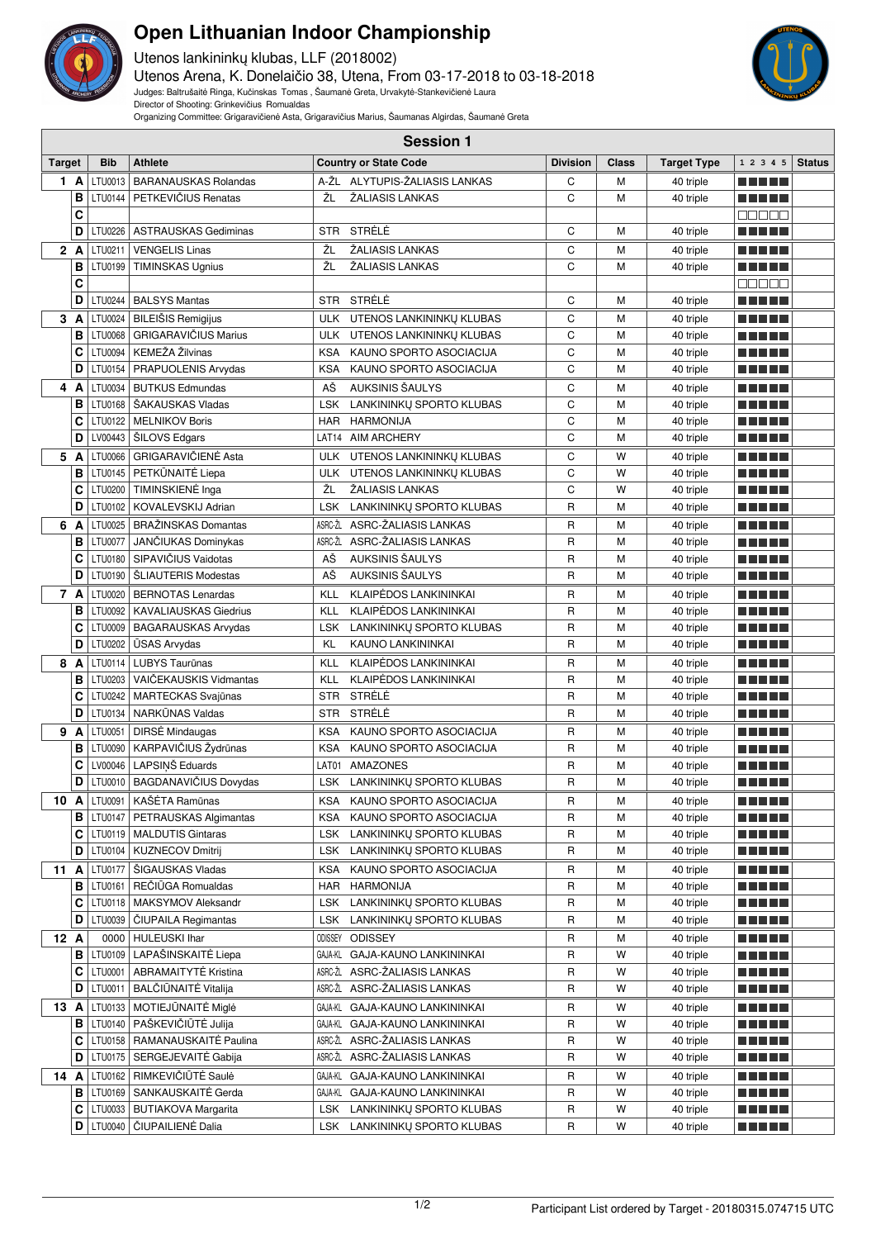

## **Open Lithuanian Indoor Championship**

Utenos lankininkų klubas, LLF (2018002) Utenos Arena, K. Donelaičio 38, Utena, From 03-17-2018 to 03-18-2018 Judges: Baltrušaitė Ringa, Kučinskas Tomas , Šaumanė Greta, Urvakytė-Stankevičienė Laura Director of Shooting: Grinkevičius Romualdas



Organizing Committee: Grigaravičienė Asta, Grigaravičius Marius, Šaumanas Algirdas, Šaumanė Greta

|               | <b>Session 1</b> |                                                             |            |                                               |                 |              |                        |                                        |               |
|---------------|------------------|-------------------------------------------------------------|------------|-----------------------------------------------|-----------------|--------------|------------------------|----------------------------------------|---------------|
| <b>Target</b> | <b>Bib</b>       | <b>Athlete</b>                                              |            | <b>Country or State Code</b>                  | <b>Division</b> | <b>Class</b> | <b>Target Type</b>     | 1 2 3 4 5                              | <b>Status</b> |
| 1 A           | LTU0013          | <b>BARANAUSKAS Rolandas</b>                                 |            | A-ŽL ALYTUPIS-ŽALIASIS LANKAS                 | С               | M            | 40 triple              | n Till<br>an m                         |               |
| B             |                  | LTU0144   PETKEVIČIUS Renatas                               | ŽL         | ŽALIASIS LANKAS                               | C               | M            | 40 triple              | an bin bin b                           |               |
| C             |                  |                                                             |            |                                               |                 |              |                        | a a a a a                              |               |
| D             | <b>LTU0226</b>   | ASTRAUSKAS Gediminas                                        |            | STR STRĖLĖ                                    | C               | M            | 40 triple              | mini pia                               |               |
| 2A            | LTU0211          | <b>VENGELIS Linas</b>                                       | ŽL         | ŽALIASIS LANKAS                               | С               | M            | 40 triple              | TI TITLE                               |               |
| B             | LTU0199          | <b>TIMINSKAS Ugnius</b>                                     | ŽL         | ŽALIASIS LANKAS                               | C               | M            | 40 triple              |                                        |               |
| C             |                  |                                                             |            |                                               |                 |              |                        | Ma Sala                                |               |
| D             |                  | LTU0244   BALSYS Mantas                                     | <b>STR</b> | STRELE                                        | C               | M            | 40 triple              | <u> El Bertin</u>                      |               |
| 3 A           |                  | LTU0024   BILEIŠIS Remigijus                                | ULK        | UTENOS LANKININKŲ KLUBAS                      | C               | M            | 40 triple              | MA TITLE                               |               |
| в             | LTU0068          | <b>GRIGARAVIČIUS Marius</b>                                 | ULK        | UTENOS LANKININKŲ KLUBAS                      | C               | M            | 40 triple              | n din se                               |               |
| C             |                  | LTU0094 KEMEŽA Žilvinas                                     | KSA        | KAUNO SPORTO ASOCIACIJA                       | C               | M            | 40 triple              | n din bir                              |               |
| D             |                  | LTU0154   PRAPUOLENIS Arvydas                               | KSA        | KAUNO SPORTO ASOCIACIJA                       | C               | M            | 40 triple              | .                                      |               |
| 4<br>A        |                  | LTU0034   BUTKUS Edmundas                                   | АŠ         | AUKSINIS ŠAULYS                               | С               | M            | 40 triple              | n di Titolo                            |               |
| B             |                  | LTU0168   ŠAKAUSKAS Vladas                                  | <b>LSK</b> | LANKININKU SPORTO KLUBAS                      | C               | M            | 40 triple              | .                                      |               |
| C             | LTU0122          | <b>MELNIKOV Boris</b>                                       | HAR        | <b>HARMONIJA</b>                              | C               | M            | 40 triple              |                                        |               |
| D             |                  | LV00443   ŠILOVS Edgars                                     |            | LAT14 AIM ARCHERY                             | C               | M            | 40 triple              | mini pia                               |               |
| 5 A           | LTU0066          | <b>GRIGARAVIČIENĖ Asta</b>                                  | ULK        | UTENOS LANKININKŲ KLUBAS                      | C               | W            | 40 triple              |                                        |               |
| B             |                  | LTU0145   PETKŪNAITĖ Liepa                                  | ULK        | UTENOS LANKININKŲ KLUBAS                      | C               | W            | 40 triple              | a katika<br>- 11                       |               |
| С             | <b>LTU0200</b>   | TIMINSKIENĖ Inga                                            | ŽL         | ŽALIASIS LANKAS                               | C               | W            | 40 triple              | H H<br>a katika                        |               |
| D             |                  | LTU0102   KOVALEVSKIJ Adrian                                | <b>LSK</b> | LANKININKŲ SPORTO KLUBAS                      | R               | M            | 40 triple              |                                        |               |
| 6<br>A        | <b>LTU0025</b>   | <b>BRAŽINSKAS Domantas</b>                                  | ASRC-ŽL    | ASRC-ŽALIASIS LANKAS                          | R               | M            | 40 triple              | 1 H H                                  |               |
| в             | <b>LTU0077</b>   | JANČIUKAS Dominykas                                         |            | ASRC-ŽL ASRC-ŽALIASIS LANKAS                  | $\mathsf R$     | M            | 40 triple              | a pop<br>an ing Kabupatèn Bag          |               |
| C             | LTU0180          | SIPAVIČIUS Vaidotas                                         | АŠ         | AUKSINIS ŠAULYS                               | R               | M            | 40 triple              |                                        |               |
| D             | LTU0190          | ŠLIAUTERIS Modestas                                         | AŠ         | AUKSINIS ŠAULYS                               | R               | M            | 40 triple              | .                                      |               |
| 7 A           | LTU0020          | <b>BERNOTAS Lenardas</b>                                    | KLL        | <b>KLAIPĖDOS LANKININKAI</b>                  | R               | M            | 40 triple              |                                        |               |
| B             | LTU0092          | <b>KAVALIAUSKAS Giedrius</b>                                | KLL        | KLAIPĖDOS LANKININKAI                         | $\mathsf R$     | M            | 40 triple              | .                                      |               |
| С             | LTU0009          | <b>BAGARAUSKAS Arvydas</b>                                  | LSK        | LANKININKŲ SPORTO KLUBAS                      | R               | M            | 40 triple              | n din bir                              |               |
| D             | LTU0202          | <b>ŪSAS Arvydas</b>                                         | KL         | KAUNO LANKININKAI                             | R               | M            | 40 triple              | n di Titolo                            |               |
| 8 A           | LTU0114          | LUBYS Taurūnas                                              | KLL        | KLAIPĖDOS LANKININKAI                         | R               | M            | 40 triple              | n di Titolo                            |               |
| в             | LTU0203          | VAIČEKAUSKIS Vidmantas                                      | KLL        | KLAIPĖDOS LANKININKAI                         | R               | M            | 40 triple              | n din se                               |               |
| C             |                  | LTU0242   MARTECKAS Svajūnas                                | STR        | STRĖLĖ                                        | R               | M            | 40 triple              | n di Titolo                            |               |
| D             | LTU0134          | NARKŪNAS Valdas                                             | STR        | STRĖLĖ                                        | $\mathsf R$     | M            | 40 triple              |                                        |               |
| 9 A           | LTU0051          | <b>DIRSE Mindaugas</b>                                      | KSA        | KAUNO SPORTO ASOCIACIJA                       | R               | M            | 40 triple              | n di Titolo                            |               |
| B             | LTU0090          | KARPAVIČIUS Žydrūnas                                        | KSA        | KAUNO SPORTO ASOCIACIJA                       | R               | M            | 40 triple              | .                                      |               |
| C             | LV00046          | LAPSIŅŠ Eduards                                             |            | LAT01 AMAZONES                                | $\mathsf R$     | M            | 40 triple              | N N D U                                |               |
| D             |                  | LTU0010   BAGDANAVIČIUS Dovydas                             |            | LSK LANKININKŲ SPORTO KLUBAS                  | $\mathsf{R}$    | M            | 40 triple              |                                        |               |
|               |                  | 10 A   LTU0091   KASETA Ramūnas                             | KSA        | KAUNO SPORTO ASOCIACIJA                       | R               | M            | 40 triple              | <u> El El El E</u>                     |               |
| в             |                  | LTU0147   PETRAUSKAS Algimantas                             | KSA        | KAUNO SPORTO ASOCIACIJA                       | R               | M            | 40 triple              | MA MARIT                               |               |
| C             |                  | LTU0119   MALDUTIS Gintaras                                 | LSK        | LANKININKŲ SPORTO KLUBAS                      | R               | M            | 40 triple              | M E H H                                |               |
| D             |                  | LTU0104   KUZNECOV Dmitrij                                  | LSK        | LANKININKU SPORTO KLUBAS                      | R               | M            | 40 triple              | <u> El El El E</u>                     |               |
| 11 A          | <b>LTU0177</b>   | ŠIGAUSKAS Vladas                                            | KSA        | KAUNO SPORTO ASOCIACIJA                       | R               | M            | 40 triple              | e e e e e                              |               |
| в<br>С        |                  | LTU0161   REČIŪGA Romualdas<br>LTU0118   MAKSYMOV Aleksandr |            | HAR HARMONIJA<br>LSK LANKININKŲ SPORTO KLUBAS | R<br>R          | M<br>M       | 40 triple              | e de la c<br>ma matsa                  |               |
| D             | LTU0039          | <b>CIUPAILA Regimantas</b>                                  | LSK        | LANKININKŲ SPORTO KLUBAS                      | R               | M            | 40 triple<br>40 triple | <b>REBEL</b>                           |               |
|               |                  | 0000   HULEUSKI Ihar                                        |            | ODISSEY ODISSEY                               |                 |              |                        |                                        |               |
| 12 A<br>в     |                  | LTU0109   LAPAŠINSKAITĖ Liepa                               | GAJA-KL    | GAJA-KAUNO LANKININKAI                        | R<br>R          | М<br>W       | 40 triple<br>40 triple | ma matsa                               |               |
| С             | LTU0001          | ABRAMAITYTĖ Kristina                                        | ASRC-ŽL    | ASRC-ŽALIASIS LANKAS                          | R               | W            | 40 triple              | <u> Literatur</u><br><u> Literatur</u> |               |
| D             | LTU0011          | BALČIŪNAITĖ Vitalija                                        | ASRC-ŽL    | ASRC-ŽALIASIS LANKAS                          | R               | W            | 40 triple              | <u> Literatur</u>                      |               |
| 13 A          |                  | LTU0133   MOTIEJŪNAITĖ Miglė                                | GAJA-KL    | GAJA-KAUNO LANKININKAI                        | R               | W            | 40 triple              | <u> El Berto de la </u>                |               |
| в             |                  | LTU0140   PAŠKEVIČIŪTĖ Julija                               | GAJA-KL    | GAJA-KAUNO LANKININKAI                        | R               | W            | 40 triple              | <u> El Bertin</u>                      |               |
| C             |                  | LTU0158   RAMANAUSKAITĖ Paulina                             |            | ASRC-ŽL ASRC-ŽALIASIS LANKAS                  | R               | W            | 40 triple              | <u> El El El E</u>                     |               |
| D             |                  | LTU0175   SERGEJEVAITĖ Gabija                               | ASRC-ŽL    | ASRC-ŽALIASIS LANKAS                          | R               | W            | 40 triple              | <u> Literatur</u>                      |               |
|               |                  | 14 A   LTU0162   RIMKEVIČIŪTĖ Saulė                         | GAJA-KL    | GAJA-KAUNO LANKININKAI                        | R               | W            | 40 triple              | <u> El El El E</u>                     |               |
| в             |                  | LTU0169   SANKAUSKAITĖ Gerda                                | GAJA-KL    | GAJA-KAUNO LANKININKAI                        | R               | W            | 40 triple              | <u> Literatur</u>                      |               |
| С             |                  | LTU0033   BUTIAKOVA Margarita                               | LSK        | LANKININKŲ SPORTO KLUBAS                      | R               | W            | 40 triple              | M A H H H                              |               |
| D             |                  | LTU0040   CIUPAILIENE Dalia                                 |            | LSK LANKININKŲ SPORTO KLUBAS                  | R               | W            | 40 triple              | <u> Literatur</u>                      |               |
|               |                  |                                                             |            |                                               |                 |              |                        |                                        |               |